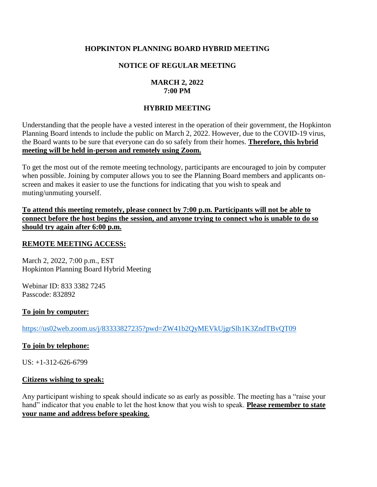# **HOPKINTON PLANNING BOARD HYBRID MEETING**

# **NOTICE OF REGULAR MEETING**

### **MARCH 2, 2022 7:00 PM**

# **HYBRID MEETING**

Understanding that the people have a vested interest in the operation of their government, the Hopkinton Planning Board intends to include the public on March 2, 2022. However, due to the COVID-19 virus, the Board wants to be sure that everyone can do so safely from their homes. **Therefore, this hybrid meeting will be held in-person and remotely using Zoom.**

To get the most out of the remote meeting technology, participants are encouraged to join by computer when possible. Joining by computer allows you to see the Planning Board members and applicants onscreen and makes it easier to use the functions for indicating that you wish to speak and muting/unmuting yourself.

**To attend this meeting remotely, please connect by 7:00 p.m. Participants will not be able to connect before the host begins the session, and anyone trying to connect who is unable to do so should try again after 6:00 p.m.** 

### **REMOTE MEETING ACCESS:**

March 2, 2022, 7:00 p.m., EST Hopkinton Planning Board Hybrid Meeting

Webinar ID: 833 3382 7245 Passcode: 832892

### **To join by computer:**

<https://us02web.zoom.us/j/83333827235?pwd=ZW41b2QyMEVkUjgrSlh1K3ZndTBvQT09>

### **To join by telephone:**

 $US: +1-312-626-6799$ 

### **Citizens wishing to speak:**

Any participant wishing to speak should indicate so as early as possible. The meeting has a "raise your hand" indicator that you enable to let the host know that you wish to speak. **Please remember to state your name and address before speaking.**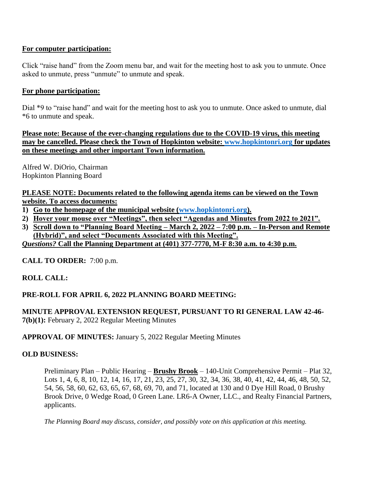# **For computer participation:**

Click "raise hand" from the Zoom menu bar, and wait for the meeting host to ask you to unmute. Once asked to unmute, press "unmute" to unmute and speak.

# **For phone participation:**

Dial \*9 to "raise hand" and wait for the meeting host to ask you to unmute. Once asked to unmute, dial \*6 to unmute and speak.

**Please note: Because of the ever-changing regulations due to the COVID-19 virus, this meeting may be cancelled. Please check the Town of Hopkinton website: [www.hopkintonri.org](http://www.hopkintonri.org/) for updates on these meetings and other important Town information.** 

Alfred W. DiOrio, Chairman Hopkinton Planning Board

**PLEASE NOTE: Documents related to the following agenda items can be viewed on the Town website. To access documents:**

- **1) Go to the homepage of the municipal website [\(www.hopkintonri.org\)](http://www.hopkintonri.org/).**
- **2) Hover your mouse over "Meetings", then select "Agendas and Minutes from 2022 to 2021".**
- **3) Scroll down to "Planning Board Meeting – March 2, 2022 – 7:00 p.m. – In-Person and Remote (Hybrid)", and select "Documents Associated with this Meeting".**

*Questions?* **Call the Planning Department at (401) 377-7770, M-F 8:30 a.m. to 4:30 p.m.** 

**CALL TO ORDER:** 7:00 p.m.

**ROLL CALL:**

# **PRE-ROLL FOR APRIL 6, 2022 PLANNING BOARD MEETING:**

# **MINUTE APPROVAL EXTENSION REQUEST, PURSUANT TO RI GENERAL LAW 42-46-**

**7(b)(1):** February 2, 2022 Regular Meeting Minutes

# **APPROVAL OF MINUTES:** January 5, 2022 Regular Meeting Minutes

# **OLD BUSINESS:**

Preliminary Plan – Public Hearing – **Brushy Brook** – 140-Unit Comprehensive Permit – Plat 32, Lots 1, 4, 6, 8, 10, 12, 14, 16, 17, 21, 23, 25, 27, 30, 32, 34, 36, 38, 40, 41, 42, 44, 46, 48, 50, 52, 54, 56, 58, 60, 62, 63, 65, 67, 68, 69, 70, and 71, located at 130 and 0 Dye Hill Road, 0 Brushy Brook Drive, 0 Wedge Road, 0 Green Lane. LR6-A Owner, LLC., and Realty Financial Partners, applicants.

*The Planning Board may discuss, consider, and possibly vote on this application at this meeting.*